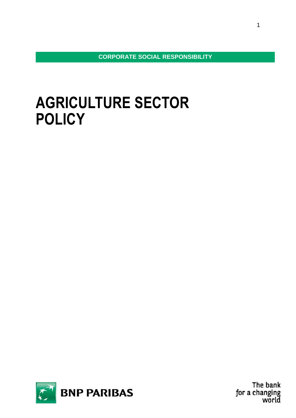**CORPORATE SOCIAL RESPONSIBILITY**

# **AGRICULTURE SECTOR POLICY**

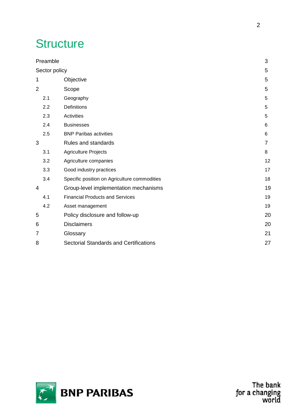# **Structure**

|                | $\mathfrak{B}$<br>Preamble |                                              |                |  |  |
|----------------|----------------------------|----------------------------------------------|----------------|--|--|
|                | Sector policy<br>5         |                                              |                |  |  |
| 1              |                            | Objective                                    | 5              |  |  |
| $\overline{2}$ |                            | Scope                                        | 5              |  |  |
|                | 2.1                        | Geography                                    | 5              |  |  |
|                | 2.2                        | Definitions                                  | 5              |  |  |
|                | 2.3                        | <b>Activities</b>                            | 5              |  |  |
|                | 2.4                        | <b>Businesses</b>                            | 6              |  |  |
|                | 2.5                        | <b>BNP Paribas activities</b>                | 6              |  |  |
| 3              |                            | Rules and standards                          | $\overline{7}$ |  |  |
|                | 3.1                        | <b>Agriculture Projects</b>                  | 8              |  |  |
|                | 3.2                        | Agriculture companies                        | 12             |  |  |
|                | 3.3                        | Good industry practices                      | 17             |  |  |
|                | 3.4                        | Specific position on Agriculture commodities | 18             |  |  |
| 4              |                            | Group-level implementation mechanisms        | 19             |  |  |
|                | 4.1                        | <b>Financial Products and Services</b>       | 19             |  |  |
|                | 4.2                        | Asset management                             | 19             |  |  |
| 5              |                            | Policy disclosure and follow-up              | 20             |  |  |
| 6              |                            | <b>Disclaimers</b>                           | 20             |  |  |
| 7              |                            | Glossary                                     | 21             |  |  |
| 8              |                            | Sectorial Standards and Certifications       | 27             |  |  |

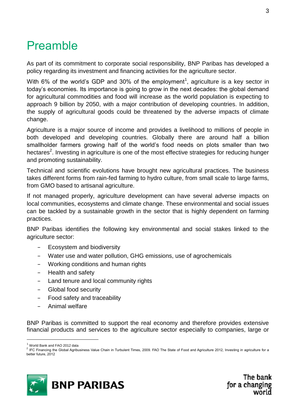## <span id="page-2-0"></span>Preamble

As part of its commitment to corporate social responsibility, BNP Paribas has developed a policy regarding its investment and financing activities for the agriculture sector.

With 6% of the world's GDP and 30% of the employment<sup>1</sup>, agriculture is a key sector in today's economies. Its importance is going to grow in the next decades: the global demand for agricultural commodities and food will increase as the world population is expecting to approach 9 billion by 2050, with a major contribution of developing countries. In addition, the supply of agricultural goods could be threatened by the adverse impacts of climate change.

Agriculture is a major source of income and provides a livelihood to millions of people in both developed and developing countries. Globally there are around half a billion smallholder farmers growing half of the world's food needs on plots smaller than two hectares<sup>2</sup>. Investing in agriculture is one of the most effective strategies for reducing hunger and promoting sustainability.

Technical and scientific evolutions have brought new agricultural practices. The business takes different forms from rain-fed farming to hydro culture, from small scale to large farms, from GMO based to artisanal agriculture.

If not managed properly, agriculture development can have several adverse impacts on local communities, ecosystems and climate change. These environmental and social issues can be tackled by a sustainable growth in the sector that is highly dependent on farming practices.

BNP Paribas identifies the following key environmental and social stakes linked to the agriculture sector:

- − Ecosystem and biodiversity
- Water use and water pollution, GHG emissions, use of agrochemicals
- − Working conditions and human rights
- − Health and safety
- Land tenure and local community rights
- − Global food security
- Food safety and traceability
- − Animal welfare

BNP Paribas is committed to support the real economy and therefore provides extensive financial products and services to the agriculture sector especially to companies, large or

1

<sup>&</sup>lt;sup>2</sup> IFC Financing the Global Agribusiness Value Chain in Turbulent Times, 2009. FAO The State of Food and Agriculture 2012, Investing in agriculture for a better future, 2012



<sup>&</sup>lt;sup>1</sup> World Bank and FAO 2012 data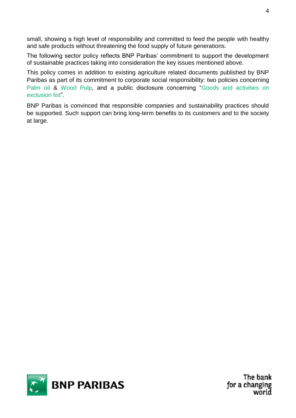small, showing a high level of responsibility and committed to feed the people with healthy and safe products without threatening the food supply of future generations.

The following sector policy reflects BNP Paribas' commitment to support the development of sustainable practices taking into consideration the key issues mentioned above.

This policy comes in addition to existing agriculture related documents published by BNP Paribas as part of its commitment to corporate social responsibility: two policies concerning [Palm oil](http://www.bnpparibas.com/sites/default/files/ckeditor-upload/files/PDF/RSE/CSR%20-%20Sector%20policy%20-%20Palm%20Oil.pdf) & [Wood Pulp,](http://www.bnpparibas.com/sites/default/files/ckeditor-upload/files/PDF/RSE/CSR%20-%20Sector%20Policy%20-%20wood%20pulp.pdf) and a public disclosure concerning "Goods and activities on [exclusion list"](http://www.bnpparibas.com/sites/default/files/ckeditor-upload/files/PDF/Nous%20Connaitre/D%C3%A9veloppement%20Durable/CSR_exclusion%20list.pdf).

BNP Paribas is convinced that responsible companies and sustainability practices should be supported. Such support can bring long-term benefits to its customers and to the society at large.

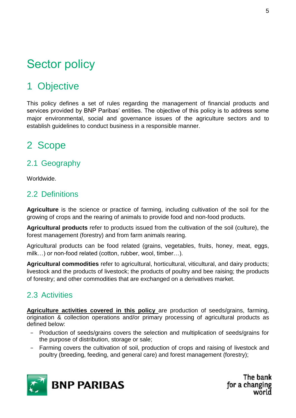# <span id="page-4-0"></span>Sector policy

## <span id="page-4-1"></span>1 Objective

This policy defines a set of rules regarding the management of financial products and services provided by BNP Paribas' entities. The objective of this policy is to address some major environmental, social and governance issues of the agriculture sectors and to establish guidelines to conduct business in a responsible manner.

## <span id="page-4-2"></span>2 Scope

## <span id="page-4-3"></span>2.1 Geography

Worldwide.

## <span id="page-4-4"></span>2.2 Definitions

**Agriculture** is the science or practice of farming, including cultivation of the soil for the growing of crops and the rearing of animals to provide food and non-food products.

**Agricultural products** refer to products issued from the cultivation of the soil (culture), the forest management (forestry) and from farm animals rearing.

Agricultural products can be food related (grains, vegetables, fruits, honey, meat, eggs, milk…) or non-food related (cotton, rubber, wool, timber…).

**Agricultural commodities** refer to agricultural, horticultural, viticultural, and dairy products; livestock and the products of livestock; the products of poultry and bee raising; the products of forestry; and other commodities that are exchanged on a derivatives market.

## <span id="page-4-5"></span>2.3 Activities

**Agriculture activities covered in this policy** are production of seeds/grains, farming, origination & collection operations and/or primary processing of agricultural products as defined below:

- − Production of seeds/grains covers the selection and multiplication of seeds/grains for the purpose of distribution, storage or sale;
- − Farming covers the cultivation of soil, production of crops and raising of livestock and poultry (breeding, feeding, and general care) and forest management (forestry);

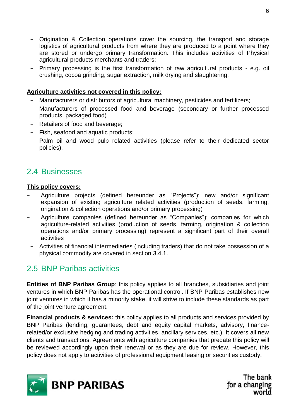- − Origination & Collection operations cover the sourcing, the transport and storage logistics of agricultural products from where they are produced to a point where they are stored or undergo primary transformation. This includes activities of Physical agricultural products merchants and traders;
- − Primary processing is the first transformation of raw agricultural products e.g. oil crushing, cocoa grinding, sugar extraction, milk drying and slaughtering.

#### **Agriculture activities not covered in this policy:**

- Manufacturers or distributors of agricultural machinery, pesticides and fertilizers;
- Manufacturers of processed food and beverage (secondary or further processed products, packaged food)
- − Retailers of food and beverage;
- − Fish, seafood and aquatic products;
- − Palm oil and wood pulp related activities (please refer to their dedicated sector policies).

## <span id="page-5-0"></span>2.4 Businesses

#### **This policy covers:**

- − Agriculture projects (defined hereunder as "Projects"): new and/or significant expansion of existing agriculture related activities (production of seeds, farming, origination & collection operations and/or primary processing)
- − Agriculture companies (defined hereunder as "Companies"): companies for which agriculture-related activities (production of seeds, farming, origination & collection operations and/or primary processing) represent a significant part of their overall activities
- − Activities of financial intermediaries (including traders) that do not take possession of a physical commodity are covered in section 3.4.1.

## <span id="page-5-1"></span>2.5 BNP Paribas activities

**Entities of BNP Paribas Group**: this policy applies to all branches, subsidiaries and joint ventures in which BNP Paribas has the operational control. If BNP Paribas establishes new joint ventures in which it has a minority stake, it will strive to include these standards as part of the joint venture agreement.

**Financial products & services:** this policy applies to all products and services provided by BNP Paribas (lending, guarantees, debt and equity capital markets, advisory, financerelated/or exclusive hedging and trading activities, ancillary services, etc.). It covers all new clients and transactions. Agreements with agriculture companies that predate this policy will be reviewed accordingly upon their renewal or as they are due for review. However, this policy does not apply to activities of professional equipment leasing or securities custody.

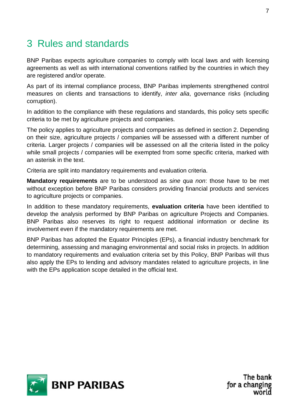## <span id="page-6-0"></span>3 Rules and standards

BNP Paribas expects agriculture companies to comply with local laws and with licensing agreements as well as with international conventions ratified by the countries in which they are registered and/or operate.

As part of its internal compliance process, BNP Paribas implements strengthened control measures on clients and transactions to identify, *inter alia*, governance risks (including corruption).

In addition to the compliance with these regulations and standards, this policy sets specific criteria to be met by agriculture projects and companies.

The policy applies to agriculture projects and companies as defined in section 2. Depending on their size, agriculture projects / companies will be assessed with a different number of criteria. Larger projects / companies will be assessed on all the criteria listed in the policy while small projects / companies will be exempted from some specific criteria, marked with an asterisk in the text.

Criteria are split into mandatory requirements and evaluation criteria.

**Mandatory requirements** are to be understood as *sine qua non*: those have to be met without exception before BNP Paribas considers providing financial products and services to agriculture projects or companies.

In addition to these mandatory requirements, **evaluation criteria** have been identified to develop the analysis performed by BNP Paribas on agriculture Projects and Companies. BNP Paribas also reserves its right to request additional information or decline its involvement even if the mandatory requirements are met.

BNP Paribas has adopted the Equator Principles (EPs), a financial industry benchmark for determining, assessing and managing environmental and social risks in projects. In addition to mandatory requirements and evaluation criteria set by this Policy, BNP Paribas will thus also apply the EPs to lending and advisory mandates related to agriculture projects, in line with the EPs application scope detailed in the official text.

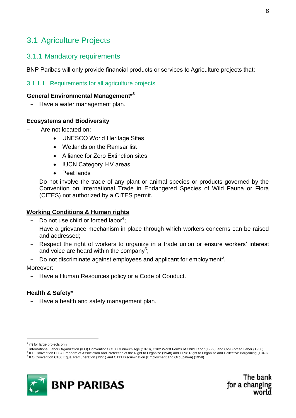## <span id="page-7-0"></span>3.1 Agriculture Projects

### 3.1.1 Mandatory requirements

BNP Paribas will only provide financial products or services to Agriculture projects that:

#### 3.1.1.1 Requirements for all agriculture projects

#### **General Environmental Management\*<sup>3</sup>**

− Have a water management plan.

#### **Ecosystems and Biodiversity**

- − Are not located on:
	- UNESCO World Heritage Sites
	- Wetlands on the Ramsar list
	- Alliance for Zero Extinction sites
	- IUCN Category I-IV areas
	- Peat lands
- Do not involve the trade of any plant or animal species or products governed by the Convention on International Trade in Endangered Species of Wild Fauna or Flora (CITES) not authorized by a CITES permit.

#### **Working Conditions & Human rights**

- − Do not use child or forced labor<sup>4</sup>;
- Have a grievance mechanism in place through which workers concerns can be raised and addressed;
- Respect the right of workers to organize in a trade union or ensure workers' interest and voice are heard within the company<sup>5</sup>;
- − Do not discriminate against employees and applicant for employment<sup>6</sup>.

Moreover:

− Have a Human Resources policy or a Code of Conduct.

#### **Health & Safety\***

− Have a health and safety management plan.

1

<sup>&</sup>lt;sup>5</sup> ILO Convention C087 Freedom of Association and Protection of the Right to Organize (1948) and C098 Right to Organize and Collective Bargaining (1949) 6 ILO Convention C100 Equal Remuneration (1951) and C111 Discrimination (Employment and Occupation) (1958)



 $3$  (\*) for large projects only

<sup>4</sup> International Labor Organization (ILO) Conventions C138 Minimum Age (1973), C182 Worst Forms of Child Labor (1999), and C29 Forced Labor (1930)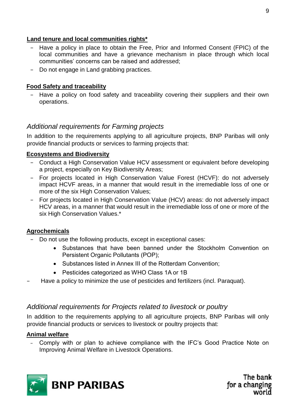#### **Land tenure and local communities rights\***

- Have a policy in place to obtain the Free, Prior and Informed Consent (FPIC) of the local communities and have a grievance mechanism in place through which local communities' concerns can be raised and addressed;
- − Do not engage in Land grabbing practices.

#### **Food Safety and traceability**

− Have a policy on food safety and traceability covering their suppliers and their own operations.

#### *Additional requirements for Farming projects*

In addition to the requirements applying to all agriculture projects, BNP Paribas will only provide financial products or services to farming projects that:

#### **Ecosystems and Biodiversity**

- − Conduct a High Conservation Value HCV assessment or equivalent before developing a project, especially on Key Biodiversity Areas;
- − For projects located in High Conservation Value Forest (HCVF): do not adversely impact HCVF areas, in a manner that would result in the irremediable loss of one or more of the six High Conservation Values;
- For projects located in High Conservation Value (HCV) areas: do not adversely impact HCV areas, in a manner that would result in the irremediable loss of one or more of the six High Conservation Values.\*

#### **Agrochemicals**

- − Do not use the following products, except in exceptional cases:
	- Substances that have been banned under the Stockholm Convention on Persistent Organic Pollutants (POP);
	- Substances listed in Annex III of the Rotterdam Convention;
	- Pesticides categorized as WHO Class 1A or 1B
- − Have a policy to minimize the use of pesticides and fertilizers (incl. Paraquat).

#### *Additional requirements for Projects related to livestock or poultry*

In addition to the requirements applying to all agriculture projects, BNP Paribas will only provide financial products or services to livestock or poultry projects that:

#### **Animal welfare**

− Comply with or plan to achieve compliance with the IFC's Good Practice Note on Improving Animal Welfare in Livestock Operations.

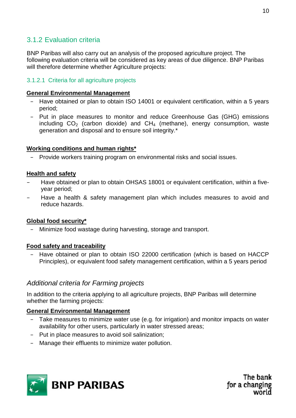## 3.1.2 Evaluation criteria

BNP Paribas will also carry out an analysis of the proposed agriculture project. The following evaluation criteria will be considered as key areas of due diligence. BNP Paribas will therefore determine whether Agriculture projects:

#### 3.1.2.1 Criteria for all agriculture projects

#### **General Environmental Management**

- − Have obtained or plan to obtain ISO 14001 or equivalent certification, within a 5 years period;
- − Put in place measures to monitor and reduce Greenhouse Gas (GHG) emissions including  $CO<sub>2</sub>$  (carbon dioxide) and  $CH<sub>4</sub>$  (methane), energy consumption, waste generation and disposal and to ensure soil integrity.\*

#### **Working conditions and human rights\***

− Provide workers training program on environmental risks and social issues.

#### **Health and safety**

- − Have obtained or plan to obtain OHSAS 18001 or equivalent certification, within a fiveyear period;
- Have a health & safety management plan which includes measures to avoid and reduce hazards.

#### **Global food security\***

− Minimize food wastage during harvesting, storage and transport.

#### **Food safety and traceability**

− Have obtained or plan to obtain ISO 22000 certification (which is based on HACCP Principles), or equivalent food safety management certification, within a 5 years period

#### *Additional criteria for Farming projects*

In addition to the criteria applying to all agriculture projects, BNP Paribas will determine whether the farming projects:

#### **General Environmental Management**

- Take measures to minimize water use (e.g. for irrigation) and monitor impacts on water availability for other users, particularly in water stressed areas;
- − Put in place measures to avoid soil salinization;
- Manage their effluents to minimize water pollution.

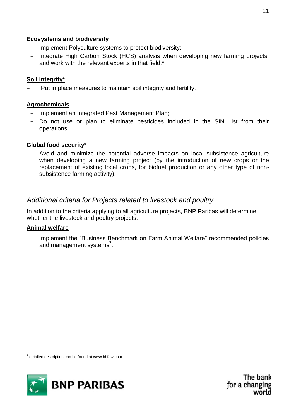#### **Ecosystems and biodiversity**

- − Implement Polyculture systems to protect biodiversity;
- − Integrate High Carbon Stock (HCS) analysis when developing new farming projects, and work with the relevant experts in that field.\*

#### **Soil Integrity\***

Put in place measures to maintain soil integrity and fertility.

#### **Agrochemicals**

- − Implement an Integrated Pest Management Plan;
- − Do not use or plan to eliminate pesticides included in the SIN List from their operations.

#### **Global food security\***

− Avoid and minimize the potential adverse impacts on local subsistence agriculture when developing a new farming project (by the introduction of new crops or the replacement of existing local crops, for biofuel production or any other type of nonsubsistence farming activity).

### *Additional criteria for Projects related to livestock and poultry*

In addition to the criteria applying to all agriculture projects, BNP Paribas will determine whether the livestock and poultry projects:

#### **Animal welfare**

− Implement the "Business Benchmark on Farm Animal Welfare" recommended policies and management systems<sup>7</sup>.

<sup>1</sup>  $7$  detailed description can be found at www.bbfaw.com

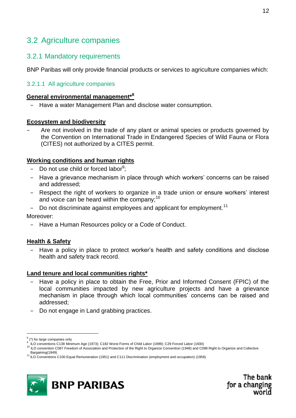## <span id="page-11-0"></span>3.2 Agriculture companies

### 3.2.1 Mandatory requirements

BNP Paribas will only provide financial products or services to agriculture companies which:

#### 3.2.1.1 All agriculture companies

#### **General environmental management\*<sup>8</sup>**

− Have a water Management Plan and disclose water consumption.

#### **Ecosystem and biodiversity**

Are not involved in the trade of any plant or animal species or products governed by the Convention on International Trade in Endangered Species of Wild Fauna or Flora (CITES) not authorized by a CITES permit.

#### **Working conditions and human rights**

- − Do not use child or forced labor<sup>9</sup>;
- − Have a grievance mechanism in place through which workers' concerns can be raised and addressed;
- − Respect the right of workers to organize in a trade union or ensure workers' interest and voice can be heard within the company;<sup>10</sup>
- Do not discriminate against employees and applicant for employment.<sup>11</sup>

Moreover:

− Have a Human Resources policy or a Code of Conduct.

#### **Health & Safety**

Have a policy in place to protect worker's health and safety conditions and disclose health and safety track record.

#### **Land tenure and local communities rights\***

- Have a policy in place to obtain the Free, Prior and Informed Consent (FPIC) of the local communities impacted by new agriculture projects and have a grievance mechanism in place through which local communities' concerns can be raised and addressed;
- Do not engage in Land grabbing practices.

1

<sup>&</sup>lt;sup>11</sup> ILO Conventions C100 Equal Remuneration (1951) and C111 Discrimination (employment and occupation) (1958)



<sup>8</sup> (\*) for large companies only

<sup>9</sup> ILO conventions C138 Minimum Age (1973); C182 Worst Forms of Child Labor (1999); C29 Forced Labor (1930)

<sup>10</sup> ILO convention C087 Freedom of Association and Protection of the Right to Organize Convention (1948) and C098 Right to Organize and Collective Bargaining(1949)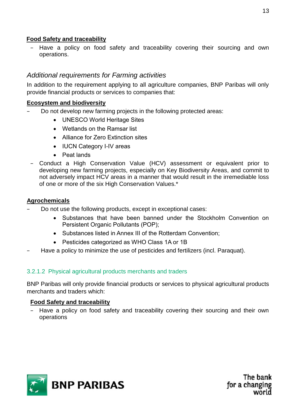#### **Food Safety and traceability**

Have a policy on food safety and traceability covering their sourcing and own operations.

### *Additional requirements for Farming activities*

In addition to the requirement applying to all agriculture companies, BNP Paribas will only provide financial products or services to companies that:

#### **Ecosystem and biodiversity**

- Do not develop new farming projects in the following protected areas:
	- UNESCO World Heritage Sites
	- Wetlands on the Ramsar list
	- Alliance for Zero Extinction sites
	- IUCN Category I-IV areas
	- Peat lands
- − Conduct a High Conservation Value (HCV) assessment or equivalent prior to developing new farming projects, especially on Key Biodiversity Areas, and commit to not adversely impact HCV areas in a manner that would result in the irremediable loss of one or more of the six High Conservation Values.\*

#### **Agrochemicals**

- Do not use the following products, except in exceptional cases:
	- Substances that have been banned under the Stockholm Convention on Persistent Organic Pollutants (POP);
	- Substances listed in Annex III of the Rotterdam Convention;
	- Pesticides categorized as WHO Class 1A or 1B
- − Have a policy to minimize the use of pesticides and fertilizers (incl. Paraquat).

#### 3.2.1.2 Physical agricultural products merchants and traders

BNP Paribas will only provide financial products or services to physical agricultural products merchants and traders which:

#### **Food Safety and traceability**

− Have a policy on food safety and traceability covering their sourcing and their own operations

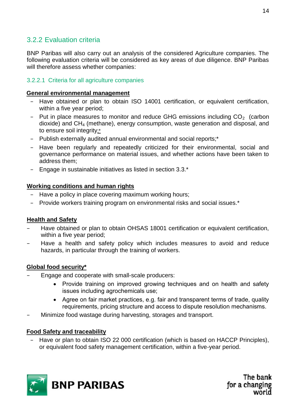## 3.2.2 Evaluation criteria

BNP Paribas will also carry out an analysis of the considered Agriculture companies. The following evaluation criteria will be considered as key areas of due diligence. BNP Paribas will therefore assess whether companies:

#### 3.2.2.1 Criteria for all agriculture companies

#### **General environmental management**

- − Have obtained or plan to obtain ISO 14001 certification, or equivalent certification, within a five year period;
- − Put in place measures to monitor and reduce GHG emissions including CO<sub>2</sub> (carbon dioxide) and CH<sup>4</sup> (methane), energy consumption, waste generation and disposal, and to ensure soil integrity;\*
- − Publish externally audited annual environmental and social reports;\*
- − Have been regularly and repeatedly criticized for their environmental, social and governance performance on material issues, and whether actions have been taken to address them;
- − Engage in sustainable initiatives as listed in section 3.3.\*

#### **Working conditions and human rights**

- Have a policy in place covering maximum working hours;
- − Provide workers training program on environmental risks and social issues.\*

#### **Health and Safety**

- Have obtained or plan to obtain OHSAS 18001 certification or equivalent certification, within a five year period;
- − Have a health and safety policy which includes measures to avoid and reduce hazards, in particular through the training of workers.

#### **Global food security\***

- Engage and cooperate with small-scale producers:
	- Provide training on improved growing techniques and on health and safety issues including agrochemicals use;
	- Agree on fair market practices, e.g. fair and transparent terms of trade, quality requirements, pricing structure and access to dispute resolution mechanisms.
- Minimize food wastage during harvesting, storages and transport.

#### **Food Safety and traceability**

− Have or plan to obtain ISO 22 000 certification (which is based on HACCP Principles), or equivalent food safety management certification, within a five-year period.

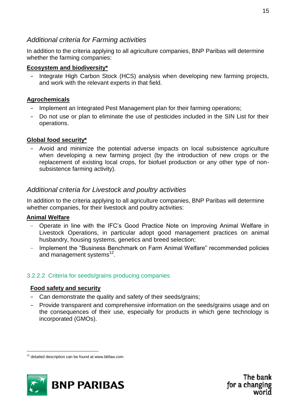#### *Additional criteria for Farming activities*

In addition to the criteria applying to all agriculture companies, BNP Paribas will determine whether the farming companies:

#### **Ecosystem and biodiversity\***

Integrate High Carbon Stock (HCS) analysis when developing new farming projects, and work with the relevant experts in that field.

#### **Agrochemicals**

- Implement an Integrated Pest Management plan for their farming operations;
- − Do not use or plan to eliminate the use of pesticides included in the SIN List for their operations.

#### **Global food security\***

− Avoid and minimize the potential adverse impacts on local subsistence agriculture when developing a new farming project (by the introduction of new crops or the replacement of existing local crops, for biofuel production or any other type of nonsubsistence farming activity).

### *Additional criteria for Livestock and poultry activities*

In addition to the criteria applying to all agriculture companies, BNP Paribas will determine whether companies, for their livestock and poultry activities:

#### **Animal Welfare**

1

- − Operate in line with the IFC's Good Practice Note on Improving Animal Welfare in Livestock Operations, in particular adopt good management practices on animal husbandry, housing systems, genetics and breed selection;
- − Implement the "Business Benchmark on Farm Animal Welfare" recommended policies and management systems<sup>12</sup>.

#### 3.2.2.2 Criteria for seeds/grains producing companies

#### **Food safety and security**

- − Can demonstrate the quality and safety of their seeds/grains;
- − Provide transparent and comprehensive information on the seeds/grains usage and on the consequences of their use, especially for products in which gene technology is incorporated (GMOs).

<sup>&</sup>lt;sup>12</sup> detailed description can be found at www.bbfaw.com

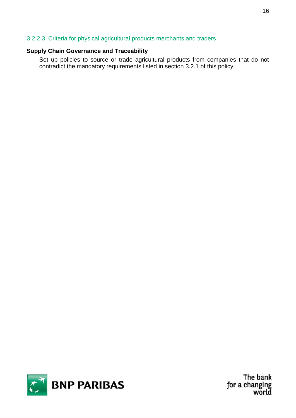#### 3.2.2.3 Criteria for physical agricultural products merchants and traders

#### **Supply Chain Governance and Traceability**

− Set up policies to source or trade agricultural products from companies that do not contradict the mandatory requirements listed in section 3.2.1 of this policy.



The bank for a changing world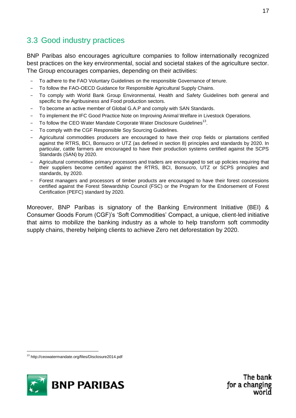## <span id="page-16-0"></span>3.3 Good industry practices

BNP Paribas also encourages agriculture companies to follow internationally recognized best practices on the key environmental, social and societal stakes of the agriculture sector. The Group encourages companies, depending on their activities:

- − To adhere to the FAO Voluntary Guidelines on the responsible Governance of tenure.
- To follow the FAO-OECD Guidance for Responsible Agricultural Supply Chains.
- To comply with World Bank Group Environmental, Health and Safety Guidelines both general and specific to the Agribusiness and Food production sectors.
- To become an active member of Global G.A.P and comply with SAN Standards.
- To implement the IFC Good Practice Note on Improving Animal Welfare in Livestock Operations.
- − To follow the CEO Water Mandate Corporate Water Disclosure Guidelines<sup>13</sup>.
- To comply with the CGF Responsible Soy Sourcing Guidelines.
- − Agricultural commodities producers are encouraged to have their crop fields or plantations certified against the RTRS, BCI, Bonsucro or UTZ (as defined in section 8) principles and standards by 2020. In particular, cattle farmers are encouraged to have their production systems certified against the SCPS Standards (SAN) by 2020.
- − Agricultural commodities primary processors and traders are encouraged to set up policies requiring that their suppliers become certified against the RTRS, BCI, Bonsucro, UTZ or SCPS principles and standards, by 2020.
- Forest managers and processors of timber products are encouraged to have their forest concessions certified against the Forest Stewardship Council (FSC) or the Program for the Endorsement of Forest Certification (PEFC) standard by 2020.

Moreover, BNP Paribas is signatory of the Banking Environment Initiative (BEI) & Consumer Goods Forum (CGF)'s 'Soft Commodities' Compact, a unique, client-led initiative that aims to mobilize the banking industry as a whole to help transform soft commodity supply chains, thereby helping clients to achieve Zero net deforestation by 2020.

1



<sup>13</sup> http://ceowatermandate.org/files/Disclosure2014.pdf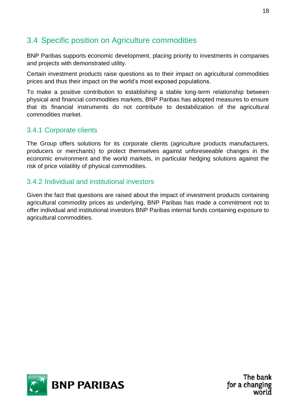## <span id="page-17-0"></span>3.4 Specific position on Agriculture commodities

BNP Paribas supports economic development, placing priority to investments in companies and projects with demonstrated utility.

Certain investment products raise questions as to their impact on agricultural commodities prices and thus their impact on the world's most exposed populations.

To make a positive contribution to establishing a stable long-term relationship between physical and financial commodities markets, BNP Paribas has adopted measures to ensure that its financial instruments do not contribute to destabilization of the agricultural commodities market.

### 3.4.1 Corporate clients

The Group offers solutions for its corporate clients (agriculture products manufacturers, producers or merchants) to protect themselves against unforeseeable changes in the economic environment and the world markets, in particular hedging solutions against the risk of price volatility of physical commodities.

### 3.4.2 Individual and institutional investors

Given the fact that questions are raised about the impact of investment products containing agricultural commodity prices as underlying, BNP Paribas has made a commitment not to offer individual and institutional investors BNP Paribas internal funds containing exposure to agricultural commodities.

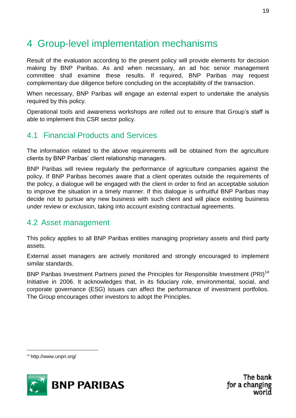## <span id="page-18-0"></span>4 Group-level implementation mechanisms

Result of the evaluation according to the present policy will provide elements for decision making by BNP Paribas. As and when necessary, an ad hoc senior management committee shall examine these results. If required, BNP Paribas may request complementary due diligence before concluding on the acceptability of the transaction.

When necessary, BNP Paribas will engage an external expert to undertake the analysis required by this policy.

Operational tools and awareness workshops are rolled out to ensure that Group's staff is able to implement this CSR sector policy.

## <span id="page-18-1"></span>4.1 Financial Products and Services

The information related to the above requirements will be obtained from the agriculture clients by BNP Paribas' client relationship managers.

BNP Paribas will review regularly the performance of agriculture companies against the policy. If BNP Paribas becomes aware that a client operates outside the requirements of the policy, a dialogue will be engaged with the client in order to find an acceptable solution to improve the situation in a timely manner. If this dialogue is unfruitful BNP Paribas may decide not to pursue any new business with such client and will place existing business under review or exclusion, taking into account existing contractual agreements.

### <span id="page-18-2"></span>4.2 Asset management

This policy applies to all BNP Paribas entities managing proprietary assets and third party assets.

External asset managers are actively monitored and strongly encouraged to implement similar standards.

<span id="page-18-3"></span>BNP Paribas Investment Partners joined the Principles for Responsible Investment (PRI)<sup>14</sup> Initiative in 2006. It acknowledges that, in its fiduciary role, environmental, social, and corporate governance (ESG) issues can affect the performance of investment portfolios. The Group encourages other investors to adopt the Principles.

1



<sup>14</sup> http://www.unpri.org/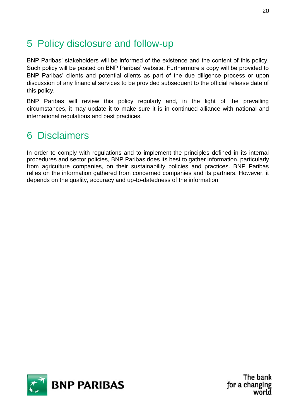## 5 Policy disclosure and follow-up

BNP Paribas' stakeholders will be informed of the existence and the content of this policy. Such policy will be posted on BNP Paribas' website. Furthermore a copy will be provided to BNP Paribas' clients and potential clients as part of the due diligence process or upon discussion of any financial services to be provided subsequent to the official release date of this policy.

BNP Paribas will review this policy regularly and, in the light of the prevailing circumstances, it may update it to make sure it is in continued alliance with national and international regulations and best practices.

## <span id="page-19-0"></span>6 Disclaimers

In order to comply with regulations and to implement the principles defined in its internal procedures and sector policies, BNP Paribas does its best to gather information, particularly from agriculture companies, on their sustainability policies and practices. BNP Paribas relies on the information gathered from concerned companies and its partners. However, it depends on the quality, accuracy and up-to-datedness of the information.

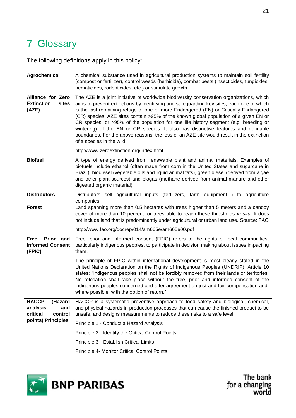## <span id="page-20-0"></span>7 Glossary

The following definitions apply in this policy:

| Agrochemical                                                      | A chemical substance used in agricultural production systems to maintain soil fertility<br>(compost or fertilizer), control weeds (herbicide), combat pests (insecticides, fungicides,<br>nematicides, rodenticides, etc.) or stimulate growth.                                                                                                                                                                                                                                                                                                                                                                                                                               |
|-------------------------------------------------------------------|-------------------------------------------------------------------------------------------------------------------------------------------------------------------------------------------------------------------------------------------------------------------------------------------------------------------------------------------------------------------------------------------------------------------------------------------------------------------------------------------------------------------------------------------------------------------------------------------------------------------------------------------------------------------------------|
| <b>Alliance for Zero</b><br><b>Extinction</b><br>sites<br>(AZE)   | The AZE is a joint initiative of worldwide biodiversity conservation organizations, which<br>aims to prevent extinctions by identifying and safeguarding key sites, each one of which<br>is the last remaining refuge of one or more Endangered (EN) or Critically Endangered<br>(CR) species. AZE sites contain >95% of the known global population of a given EN or<br>CR species, or >95% of the population for one life history segment (e.g. breeding or<br>wintering) of the EN or CR species. It also has distinctive features and definable<br>boundaries. For the above reasons, the loss of an AZE site would result in the extinction<br>of a species in the wild. |
|                                                                   | http://www.zeroextinction.org/index.html                                                                                                                                                                                                                                                                                                                                                                                                                                                                                                                                                                                                                                      |
| <b>Biofuel</b>                                                    | A type of energy derived from renewable plant and animal materials. Examples of<br>biofuels include ethanol (often made from corn in the United States and sugarcane in<br>Brazil), biodiesel (vegetable oils and liquid animal fats), green diesel (derived from algae<br>and other plant sources) and biogas (methane derived from animal manure and other<br>digested organic material).                                                                                                                                                                                                                                                                                   |
| <b>Distributors</b>                                               | Distributors sell agricultural inputs (fertilizers, farm equipment) to agriculture<br>companies                                                                                                                                                                                                                                                                                                                                                                                                                                                                                                                                                                               |
| <b>Forest</b>                                                     | Land spanning more than 0.5 hectares with trees higher than 5 meters and a canopy<br>cover of more than 10 percent, or trees able to reach these thresholds in situ. It does<br>not include land that is predominantly under agricultural or urban land use. Source: FAO                                                                                                                                                                                                                                                                                                                                                                                                      |
|                                                                   | http://www.fao.org/docrep/014/am665e/am665e00.pdf                                                                                                                                                                                                                                                                                                                                                                                                                                                                                                                                                                                                                             |
| <b>Prior</b><br>Free,<br>and<br><b>Informed Consent</b><br>(FPIC) | Free, prior and informed consent (FPIC) refers to the rights of local communities,<br>particularly indigenous peoples, to participate in decision making about issues impacting<br>them.                                                                                                                                                                                                                                                                                                                                                                                                                                                                                      |
|                                                                   | The principle of FPIC within international development is most clearly stated in the<br>United Nations Declaration on the Rights of Indigenous Peoples (UNDRIP). Article 10<br>states: "Indigenous peoples shall not be forcibly removed from their lands or territories.<br>No relocation shall take place without the free, prior and informed consent of the<br>indigenous peoples concerned and after agreement on just and fair compensation and,<br>where possible, with the option of return."                                                                                                                                                                         |
| <b>HACCP</b><br>(Hazard<br>analysis<br>and<br>critical<br>control | HACCP is a systematic preventive approach to food safety and biological, chemical,<br>and physical hazards in production processes that can cause the finished product to be<br>unsafe, and designs measurements to reduce these risks to a safe level.                                                                                                                                                                                                                                                                                                                                                                                                                       |
| points) Principles                                                | Principle 1 - Conduct a Hazard Analysis                                                                                                                                                                                                                                                                                                                                                                                                                                                                                                                                                                                                                                       |
|                                                                   | Principle 2 - Identify the Critical Control Points                                                                                                                                                                                                                                                                                                                                                                                                                                                                                                                                                                                                                            |
|                                                                   | Principle 3 - Establish Critical Limits                                                                                                                                                                                                                                                                                                                                                                                                                                                                                                                                                                                                                                       |
|                                                                   | Principle 4- Monitor Critical Control Points                                                                                                                                                                                                                                                                                                                                                                                                                                                                                                                                                                                                                                  |

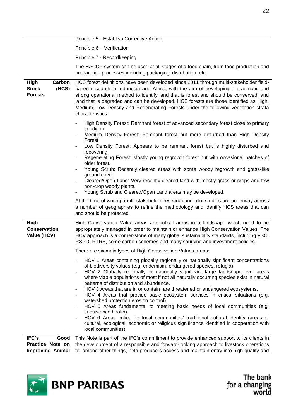|                                                           | Principle 5 - Establish Corrective Action                                                                                                                                                                                                                                                                                                                                                                                                                                                                                                                                                                                                                                                                                                                                                                                                                                                                                                                                     |
|-----------------------------------------------------------|-------------------------------------------------------------------------------------------------------------------------------------------------------------------------------------------------------------------------------------------------------------------------------------------------------------------------------------------------------------------------------------------------------------------------------------------------------------------------------------------------------------------------------------------------------------------------------------------------------------------------------------------------------------------------------------------------------------------------------------------------------------------------------------------------------------------------------------------------------------------------------------------------------------------------------------------------------------------------------|
|                                                           | Principle 6 - Verification                                                                                                                                                                                                                                                                                                                                                                                                                                                                                                                                                                                                                                                                                                                                                                                                                                                                                                                                                    |
|                                                           | Principle 7 - Recordkeeping                                                                                                                                                                                                                                                                                                                                                                                                                                                                                                                                                                                                                                                                                                                                                                                                                                                                                                                                                   |
|                                                           | The HACCP system can be used at all stages of a food chain, from food production and<br>preparation processes including packaging, distribution, etc.                                                                                                                                                                                                                                                                                                                                                                                                                                                                                                                                                                                                                                                                                                                                                                                                                         |
| High<br>Carbon<br><b>Stock</b><br>(HCS)<br><b>Forests</b> | HCS forest definitions have been developed since 2011 through multi-stakeholder field-<br>based research in Indonesia and Africa, with the aim of developing a pragmatic and<br>strong operational method to identify land that is forest and should be conserved, and<br>land that is degraded and can be developed. HCS forests are those identified as High,<br>Medium, Low Density and Regenerating Forests under the following vegetation strata<br>characteristics:                                                                                                                                                                                                                                                                                                                                                                                                                                                                                                     |
|                                                           | High Density Forest: Remnant forest of advanced secondary forest close to primary<br>condition<br>Medium Density Forest: Remnant forest but more disturbed than High Density<br>Forest<br>Low Density Forest: Appears to be remnant forest but is highly disturbed and<br>recovering<br>Regenerating Forest: Mostly young regrowth forest but with occasional patches of<br>older forest.<br>Young Scrub: Recently cleared areas with some woody regrowth and grass-like<br>ground cover<br>Cleared/Open Land: Very recently cleared land with mostly grass or crops and few<br>non-crop woody plants.<br>Young Scrub and Cleared/Open Land areas may be developed.                                                                                                                                                                                                                                                                                                           |
|                                                           | At the time of writing, multi-stakeholder research and pilot studies are underway across<br>a number of geographies to refine the methodology and identify HCS areas that can<br>and should be protected.                                                                                                                                                                                                                                                                                                                                                                                                                                                                                                                                                                                                                                                                                                                                                                     |
| <b>High</b><br><b>Conservation</b><br>Value (HCV)         | High Conservation Value areas are critical areas in a landscape which need to be<br>appropriately managed in order to maintain or enhance High Conservation Values. The<br>HCV approach is a corner-stone of many global sustainability standards, including FSC,<br>RSPO, RTRS, some carbon schemes and many sourcing and investment policies.                                                                                                                                                                                                                                                                                                                                                                                                                                                                                                                                                                                                                               |
|                                                           | There are six main types of High Conservation Values areas:<br>HCV 1 Areas containing globally regionally or nationally significant concentrations<br>of biodiversity values (e.g. endemism, endangered species, refugia).<br>HCV 2 Globally regionally or nationally significant large landscape-level areas<br>where viable populations of most if not all naturally occurring species exist in natural<br>patterns of distribution and abundance.<br>HCV 3 Areas that are in or contain rare threatened or endangered ecosystems.<br>HCV 4 Areas that provide basic ecosystem services in critical situations (e.g.<br>watershed protection erosion control).<br>HCV 5 Areas fundamental to meeting basic needs of local communities (e.g.<br>subsistence health).<br>HCV 6 Areas critical to local communities' traditional cultural identity (areas of<br>cultural, ecological, economic or religious significance identified in cooperation with<br>local communities). |
| IFC's<br>Good<br>Practice Note on                         | This Note is part of the IFC's commitment to provide enhanced support to its clients in<br>the development of a responsible and forward-looking approach to livestock operations                                                                                                                                                                                                                                                                                                                                                                                                                                                                                                                                                                                                                                                                                                                                                                                              |

**Improving Animal**  to, among other things, help producers access and maintain entry into high quality and

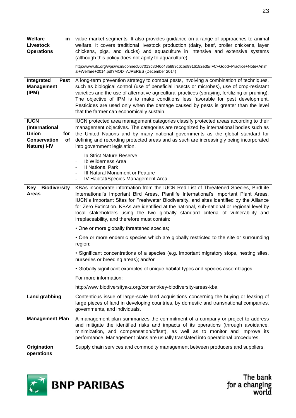| <b>Welfare</b><br>in<br><b>Livestock</b><br><b>Operations</b>                                     | value market segments. It also provides guidance on a range of approaches to animal<br>welfare. It covers traditional livestock production (dairy, beef, broiler chickens, layer<br>chickens, pigs, and ducks) and aquaculture in intensive and extensive systems<br>(although this policy does not apply to aquaculture).                                                                                                                                                                                    |
|---------------------------------------------------------------------------------------------------|---------------------------------------------------------------------------------------------------------------------------------------------------------------------------------------------------------------------------------------------------------------------------------------------------------------------------------------------------------------------------------------------------------------------------------------------------------------------------------------------------------------|
|                                                                                                   | http://www.ifc.org/wps/wcm/connect/67013c8046c48b889c6cbd9916182e35/IFC+Good+Practice+Note+Anim<br>al+Welfare+2014.pdf?MOD=AJPERES (December 2014)                                                                                                                                                                                                                                                                                                                                                            |
| Integrated<br>Pest<br><b>Management</b><br>(IPM)                                                  | A long-term prevention strategy to combat pests, involving a combination of techniques,<br>such as biological control (use of beneficial insects or microbes), use of crop-resistant<br>varieties and the use of alternative agricultural practices (spraying, fertilizing or pruning).<br>The objective of IPM is to make conditions less favorable for pest development.<br>Pesticides are used only when the damage caused by pests is greater than the level<br>that the farmer can economically sustain. |
| <b>IUCN</b><br>(International<br><b>Union</b><br>for<br><b>Conservation</b><br>Οf<br>Nature) I-IV | IUCN protected area management categories classify protected areas according to their<br>management objectives. The categories are recognized by international bodies such as<br>the United Nations and by many national governments as the global standard for<br>defining and recording protected areas and as such are increasingly being incorporated<br>into government legislation.                                                                                                                     |
|                                                                                                   | la Strict Nature Reserve<br>$\overline{\phantom{a}}$<br>Ib Wilderness Area<br>$\overline{\phantom{a}}$<br><b>II National Park</b><br>$\overline{\phantom{a}}$<br>III Natural Monument or Feature<br>$\overline{\phantom{a}}$<br>IV Habitat/Species Management Area<br>$\overline{\phantom{a}}$                                                                                                                                                                                                                |
| <b>Biodiversity</b><br>Key<br><b>Areas</b>                                                        | KBAs incorporate information from the IUCN Red List of Threatened Species, BirdLife<br>International's Important Bird Areas, Plantlife International's Important Plant Areas,<br>IUCN's Important Sites for Freshwater Biodiversity, and sites identified by the Alliance<br>for Zero Extinction. KBAs are identified at the national, sub-national or regional level by<br>local stakeholders using the two globally standard criteria of vulnerability and<br>irreplaceability, and therefore must contain: |
|                                                                                                   | • One or more globally threatened species;                                                                                                                                                                                                                                                                                                                                                                                                                                                                    |
|                                                                                                   | • One or more endemic species which are globally restricted to the site or surrounding<br>region;                                                                                                                                                                                                                                                                                                                                                                                                             |
|                                                                                                   | · Significant concentrations of a species (e.g. important migratory stops, nesting sites,<br>nurseries or breeding areas); and/or                                                                                                                                                                                                                                                                                                                                                                             |
|                                                                                                   | • Globally significant examples of unique habitat types and species assemblages.                                                                                                                                                                                                                                                                                                                                                                                                                              |
|                                                                                                   | For more information:                                                                                                                                                                                                                                                                                                                                                                                                                                                                                         |
|                                                                                                   | http://www.biodiversitya-z.org/content/key-biodiversity-areas-kba                                                                                                                                                                                                                                                                                                                                                                                                                                             |
| <b>Land grabbing</b>                                                                              | Contentious issue of large-scale land acquisitions concerning the buying or leasing of<br>large pieces of land in developing countries, by domestic and transnational companies,<br>governments, and individuals.                                                                                                                                                                                                                                                                                             |
| <b>Management Plan</b>                                                                            | A management plan summarizes the commitment of a company or project to address<br>and mitigate the identified risks and impacts of its operations (through avoidance,<br>minimization, and compensation/offset), as well as to monitor and improve its<br>performance. Management plans are usually translated into operational procedures.                                                                                                                                                                   |
| Origination<br>operations                                                                         | Supply chain services and commodity management between producers and suppliers.                                                                                                                                                                                                                                                                                                                                                                                                                               |

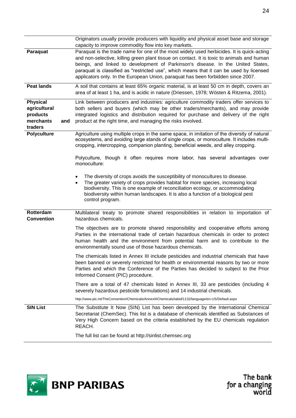|                                                                     |     | Originators usually provide producers with liquidity and physical asset base and storage<br>capacity to improve commodity flow into key markets.                                                                                                                                                                                                                                                                                                          |
|---------------------------------------------------------------------|-----|-----------------------------------------------------------------------------------------------------------------------------------------------------------------------------------------------------------------------------------------------------------------------------------------------------------------------------------------------------------------------------------------------------------------------------------------------------------|
| Paraquat                                                            |     | Paraquat is the trade name for one of the most widely used herbicides. It is quick-acting<br>and non-selective, killing green plant tissue on contact. It is toxic to animals and human<br>beings, and linked to development of Parkinson's disease. In the United States,<br>paraquat is classified as "restricted use", which means that it can be used by licensed<br>applicators only. In the European Union, paraquat has been forbidden since 2007. |
| <b>Peat lands</b>                                                   |     | A soil that contains at least 65% organic material, is at least 50 cm in depth, covers an<br>area of at least 1 ha, and is acidic in nature (Driessen, 1978; Wösten & Ritzema, 2001).                                                                                                                                                                                                                                                                     |
| <b>Physical</b><br>agricultural<br>products<br>merchants<br>traders | and | Link between producers and industries: agriculture commodity traders offer services to<br>both sellers and buyers (which may be other traders/merchants), and may provide<br>integrated logistics and distribution required for purchase and delivery of the right<br>product at the right time, and managing the risks involved.                                                                                                                         |
| <b>Polyculture</b>                                                  |     | Agriculture using multiple crops in the same space, in imitation of the diversity of natural<br>ecosystems, and avoiding large stands of single crops, or monoculture. It includes multi-<br>cropping, intercropping, companion planting, beneficial weeds, and alley cropping.                                                                                                                                                                           |
|                                                                     |     | Polyculture, though it often requires more labor, has several advantages over<br>monoculture:                                                                                                                                                                                                                                                                                                                                                             |
|                                                                     |     | The diversity of crops avoids the susceptibility of monocultures to disease.<br>The greater variety of crops provides habitat for more species, increasing local<br>biodiversity. This is one example of reconciliation ecology, or accommodating<br>biodiversity within human landscapes. It is also a function of a biological pest<br>control program.                                                                                                 |
| Rotterdam<br><b>Convention</b>                                      |     | Multilateral treaty to promote shared responsibilities in relation to importation of<br>hazardous chemicals.                                                                                                                                                                                                                                                                                                                                              |
|                                                                     |     | The objectives are to promote shared responsibility and cooperative efforts among<br>Parties in the international trade of certain hazardous chemicals in order to protect<br>human health and the environment from potential harm and to contribute to the<br>environmentally sound use of those hazardous chemicals.                                                                                                                                    |
|                                                                     |     | The chemicals listed in Annex III include pesticides and industrial chemicals that have<br>been banned or severely restricted for health or environmental reasons by two or more<br>Parties and which the Conference of the Parties has decided to subject to the Prior<br>Informed Consent (PIC) procedure.                                                                                                                                              |
|                                                                     |     | There are a total of 47 chemicals listed in Annex III, 33 are pesticides (including 4<br>severely hazardous pesticide formulations) and 14 industrial chemicals.                                                                                                                                                                                                                                                                                          |
|                                                                     |     | http://www.pic.int/TheConvention/Chemicals/AnnexIIIChemicals/tabid/1132/language/en-US/Default.aspx                                                                                                                                                                                                                                                                                                                                                       |
| <b>SIN List</b>                                                     |     | The Substitute It Now (SIN) List has been developed by the International Chemical<br>Secretariat (ChemSec). This list is a database of chemicals identified as Substances of<br>Very High Concern based on the criteria established by the EU chemicals regulation<br>REACH.                                                                                                                                                                              |
|                                                                     |     | The full list can be found at http://sinlist.chemsec.org                                                                                                                                                                                                                                                                                                                                                                                                  |

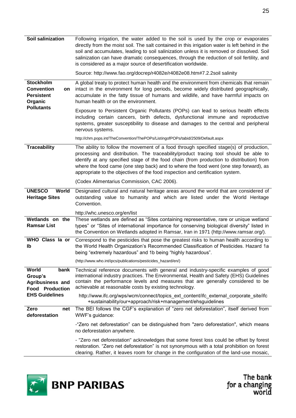| Soil salinization                                                                                | Following irrigation, the water added to the soil is used by the crop or evaporates<br>directly from the moist soil. The salt contained in this irrigation water is left behind in the<br>soil and accumulates, leading to soil salinization unless it is removed or dissolved. Soil<br>salinization can have dramatic consequences, through the reduction of soil fertility, and<br>is considered as a major source of desertification worldwide.<br>Source: http://www.fao.org/docrep/r4082e/r4082e08.htm#7.2.2soil salinity |
|--------------------------------------------------------------------------------------------------|--------------------------------------------------------------------------------------------------------------------------------------------------------------------------------------------------------------------------------------------------------------------------------------------------------------------------------------------------------------------------------------------------------------------------------------------------------------------------------------------------------------------------------|
| <b>Stockholm</b><br><b>Convention</b><br>on<br><b>Persistent</b><br>Organic<br><b>Pollutants</b> | A global treaty to protect human health and the environment from chemicals that remain<br>intact in the environment for long periods, become widely distributed geographically,<br>accumulate in the fatty tissue of humans and wildlife, and have harmful impacts on<br>human health or on the environment.                                                                                                                                                                                                                   |
|                                                                                                  | Exposure to Persistent Organic Pollutants (POPs) can lead to serious health effects<br>including certain cancers, birth defects, dysfunctional immune and reproductive<br>systems, greater susceptibility to disease and damages to the central and peripheral<br>nervous systems.                                                                                                                                                                                                                                             |
|                                                                                                  | http://chm.pops.int/TheConvention/ThePOPs/ListingofPOPs/tabid/2509/Default.aspx                                                                                                                                                                                                                                                                                                                                                                                                                                                |
| <b>Traceability</b>                                                                              | The ability to follow the movement of a food through specified stage(s) of production,<br>processing and distribution. The traceability/product tracing tool should be able to<br>identify at any specified stage of the food chain (from production to distribution) from<br>where the food came (one step back) and to where the food went (one step forward), as<br>appropriate to the objectives of the food inspection and certification system.                                                                          |
|                                                                                                  | (Codex Alimentarius Commission, CAC 2006).                                                                                                                                                                                                                                                                                                                                                                                                                                                                                     |
| <b>UNESCO</b><br>World<br><b>Heritage Sites</b>                                                  | Designated cultural and natural heritage areas around the world that are considered of<br>outstanding value to humanity and which are listed under the World Heritage<br>Convention.                                                                                                                                                                                                                                                                                                                                           |
|                                                                                                  | http://whc.unesco.org/en/list                                                                                                                                                                                                                                                                                                                                                                                                                                                                                                  |
| Wetlands on the<br><b>Ramsar List</b>                                                            | These wetlands are defined as "Sites containing representative, rare or unique wetland<br>types" or "Sites of international importance for conserving biological diversity" listed in<br>the Convention on Wetlands adopted in Ramsar, Iran in 1971 (http://www.ramsar.org/).                                                                                                                                                                                                                                                  |
| WHO Class la or<br>Ib                                                                            | Correspond to the pesticides that pose the greatest risks to human health according to<br>the World Health Organization's Recommended Classification of Pesticides. Hazard 1a<br>being "extremely hazardous" and 1b being "highly hazardous".                                                                                                                                                                                                                                                                                  |
|                                                                                                  | (http://www.who.int/ipcs/publications/pesticides_hazard/en/)                                                                                                                                                                                                                                                                                                                                                                                                                                                                   |
| World<br>bank<br>Group's<br>Agribusiness and<br><b>Food Production</b>                           | Technical reference documents with general and industry-specific examples of good<br>international industry practices. The Environmental, Health and Safety (EHS) Guidelines<br>contain the performance levels and measures that are generally considered to be<br>achievable at reasonable costs by existing technology.                                                                                                                                                                                                      |
| <b>EHS Guidelines</b>                                                                            | http://www.ifc.org/wps/wcm/connect/topics ext content/ifc external corporate site/ifc<br>+sustainability/our+approach/risk+management/ehsguidelines                                                                                                                                                                                                                                                                                                                                                                            |
| Zero<br>net<br>deforestation                                                                     | The BEI follows the CGF's explanation of "zero net deforestation", itself derived from<br>WWF's guidance:                                                                                                                                                                                                                                                                                                                                                                                                                      |
|                                                                                                  | -"Zero net deforestation" can be distinguished from "zero deforestation", which means<br>no deforestation anywhere.                                                                                                                                                                                                                                                                                                                                                                                                            |
|                                                                                                  | - "Zero net deforestation" acknowledges that some forest loss could be offset by forest<br>restoration. "Zero net deforestation" is not synonymous with a total prohibition on forest<br>clearing. Rather, it leaves room for change in the configuration of the land-use mosaic,                                                                                                                                                                                                                                              |

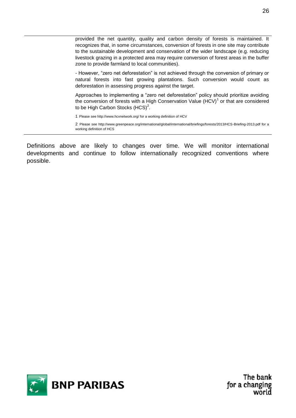provided the net quantity, quality and carbon density of forests is maintained. It recognizes that, in some circumstances, conversion of forests in one site may contribute to the sustainable development and conservation of the wider landscape (e.g. reducing livestock grazing in a protected area may require conversion of forest areas in the buffer zone to provide farmland to local communities).

- However, "zero net deforestation" is not achieved through the conversion of primary or natural forests into fast growing plantations. Such conversion would count as deforestation in assessing progress against the target.

Approaches to implementing a "zero net deforestation" policy should prioritize avoiding the conversion of forests with a High Conservation Value  $(HCV)^1$  or that are considered to be High Carbon Stocks  $(HCS)^2$ .

1 Please see http://www.hcvnetwork.org/ for a working definition of HCV

2 Please see http://www.greenpeace.org/international/global/international/briefings/forests/2013/HCS-Briefing-2013.pdf for a working definition of HCS

Definitions above are likely to changes over time. We will monitor international developments and continue to follow internationally recognized conventions where possible.